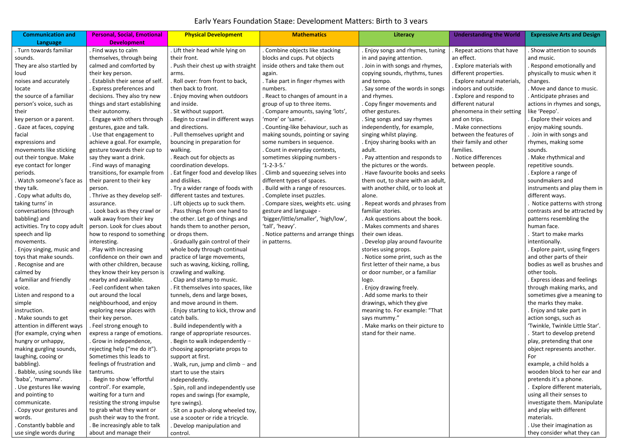| <b>Communication and</b>      | <b>Personal, Social, Emotional</b> | <b>Physical Development</b>         | <b>Mathematics</b>                   | Literacy                          | <b>Understanding the World</b> | <b>Expressive Arts and Design</b> |
|-------------------------------|------------------------------------|-------------------------------------|--------------------------------------|-----------------------------------|--------------------------------|-----------------------------------|
| Language                      | <b>Development</b>                 |                                     |                                      |                                   |                                |                                   |
| . Turn towards familiar       | . Find ways to calm                | . Lift their head while lying on    | . Combine objects like stacking      | Enjoy songs and rhymes, tuning    | Repeat actions that have       | . Show attention to sounds        |
| sounds.                       | themselves, through being          | their front.                        | blocks and cups. Put objects         | in and paying attention.          | an effect.                     | and music.                        |
| They are also startled by     | calmed and comforted by            | . Push their chest up with straight | inside others and take them out      | . Join in with songs and rhymes,  | . Explore materials with       | . Respond emotionally and         |
| loud                          | their key person.                  | arms.                               | again.                               | copying sounds, rhythms, tunes    | different properties.          | physically to music when it       |
| noises and accurately         | Establish their sense of self.     | . Roll over: from front to back,    | . Take part in finger rhymes with    | and tempo.                        | . Explore natural materials,   | changes.                          |
| locate                        | . Express preferences and          | then back to front.                 | numbers.                             | . Say some of the words in songs  | indoors and outside.           | . Move and dance to music.        |
| the source of a familiar      | decisions. They also try new       | . Enjoy moving when outdoors        | . React to changes of amount in a    | and rhymes.                       | . Explore and respond to       | . Anticipate phrases and          |
| person's voice, such as       | things and start establishing      | and inside.                         | group of up to three items.          | . Copy finger movements and       | different natural              | actions in rhymes and songs,      |
| their                         | their autonomy.                    | . Sit without support.              | . Compare amounts, saying 'lots',    | other gestures.                   | phenomena in their setting     | like 'Peepo'.                     |
| key person or a parent.       | . Engage with others through       | . Begin to crawl in different ways  | 'more' or 'same'.                    | . Sing songs and say rhymes       | and on trips.                  | . Explore their voices and        |
| Gaze at faces, copying        | gestures, gaze and talk.           | and directions.                     | . Counting-like behaviour, such as   | independently, for example,       | . Make connections             | enjoy making sounds.              |
| facial                        | . Use that engagement to           | . Pull themselves upright and       | making sounds, pointing or saying    | singing whilst playing.           | between the features of        | . Join in with songs and          |
| expressions and               | achieve a goal. For example,       | bouncing in preparation for         | some numbers in sequence.            | . Enjoy sharing books with an     | their family and other         | rhymes, making some               |
| movements like sticking       | gesture towards their cup to       | walking.                            | . Count in everyday contexts,        | adult.                            | families.                      | sounds.                           |
| out their tongue. Make        | say they want a drink.             | . Reach out for objects as          | sometimes skipping numbers -         | . Pay attention and responds to   | . Notice differences           | . Make rhythmical and             |
| eye contact for longer        | . Find ways of managing            | coordination develops.              | $'1 - 2 - 3 - 5.'$                   | the pictures or the words.        | between people.                | repetitive sounds.                |
| periods.                      | transitions, for example from      | . Eat finger food and develop likes | . Climb and squeezing selves into    | . Have favourite books and seeks  |                                | . Explore a range of              |
| Watch someone's face as       | their parent to their key          | and dislikes.                       | different types of spaces.           | them out, to share with an adult, |                                | soundmakers and                   |
| they talk.                    | person.                            | . Try a wider range of foods with   | Build with a range of resources.     | with another child, or to look at |                                | instruments and play them in      |
| Copy what adults do,          | . Thrive as they develop self-     | different tastes and textures.      | . Complete inset puzzles.            | alone.                            |                                | different ways.                   |
| taking turns' in              | assurance.                         | . Lift objects up to suck them.     | . Compare sizes, weights etc. using  | Repeat words and phrases from     |                                | Notice patterns with strong       |
| conversations (through        | Look back as they crawl or         | . Pass things from one hand to      | gesture and language -               | familiar stories.                 |                                | contrasts and be attracted by     |
| babbling) and                 | walk away from their key           | the other. Let go of things and     | 'bigger/little/smaller', 'high/low', | . Ask questions about the book.   |                                | patterns resembling the           |
| activities. Try to copy adult | person. Look for clues about       | hands them to another person,       | 'tall', 'heavy'.                     | . Makes comments and shares       |                                | human face.                       |
| speech and lip                | how to respond to something        | or drops them.                      | . Notice patterns and arrange things | their own ideas.                  |                                | Start to make marks               |
| movements.                    | interesting.                       | . Gradually gain control of their   | in patterns.                         | . Develop play around favourite   |                                | intentionally.                    |
| Enjoy singing, music and      | . Play with increasing             | whole body through continual        |                                      | stories using props.              |                                | . Explore paint, using fingers    |
| toys that make sounds.        | confidence on their own and        | practice of large movements,        |                                      | . Notice some print, such as the  |                                | and other parts of their          |
| . Recognise and are           | with other children, because       | such as waving, kicking, rolling,   |                                      | first letter of their name, a bus |                                | bodies as well as brushes and     |
| calmed by                     | they know their key person is      | crawling and walking.               |                                      | or door number, or a familiar     |                                | other tools.                      |
| a familiar and friendly       | nearby and available.              | . Clap and stamp to music.          |                                      | logo.                             |                                | . Express ideas and feelings      |
| voice.                        | . Feel confident when taken        | . Fit themselves into spaces, like  |                                      | . Enjoy drawing freely.           |                                | through making marks, and         |
| Listen and respond to a       | out around the local               | tunnels, dens and large boxes,      |                                      | . Add some marks to their         |                                | sometimes give a meaning to       |
| simple                        | neighbourhood, and enjoy           | and move around in them.            |                                      | drawings, which they give         |                                | the marks they make.              |
| instruction.                  | exploring new places with          | . Enjoy starting to kick, throw and |                                      | meaning to. For example: "That    |                                | . Enjoy and take part in          |
| Make sounds to get            | their key person.                  | catch balls.                        |                                      | says mummy."                      |                                | action songs, such as             |
| attention in different ways   | . Feel strong enough to            | . Build independently with a        |                                      | . Make marks on their picture to  |                                | 'Twinkle, Twinkle Little Star'.   |
| (for example, crying when     | express a range of emotions.       | range of appropriate resources.     |                                      | stand for their name.             |                                | Start to develop pretend          |
| hungry or unhappy,            | . Grow in independence,            | . Begin to walk independently $-$   |                                      |                                   |                                | play, pretending that one         |
| making gurgling sounds,       | rejecting help ("me do it").       | choosing appropriate props to       |                                      |                                   |                                | object represents another.        |
| laughing, cooing or           | Sometimes this leads to            | support at first.                   |                                      |                                   |                                | For                               |
| babbling).                    | feelings of frustration and        | . Walk, run, jump and $climb - and$ |                                      |                                   |                                | example, a child holds a          |
| Babble, using sounds like     | tantrums.                          | start to use the stairs             |                                      |                                   |                                | wooden block to her ear and       |
| 'baba', 'mamama'.             | Begin to show 'effortful           | independently.                      |                                      |                                   |                                | pretends it's a phone.            |
| Use gestures like waving      | control'. For example,             | . Spin, roll and independently use  |                                      |                                   |                                | Explore different materials,      |
| and pointing to               | waiting for a turn and             | ropes and swings (for example,      |                                      |                                   |                                | using all their senses to         |
| communicate.                  | resisting the strong impulse       | tyre swings).                       |                                      |                                   |                                | investigate them. Manipulate      |
| Copy your gestures and        | to grab what they want or          | . Sit on a push-along wheeled toy,  |                                      |                                   |                                | and play with different           |
| words.                        | push their way to the front.       | use a scooter or ride a tricycle.   |                                      |                                   |                                | materials.                        |
| Constantly babble and         | . Be increasingly able to talk     | . Develop manipulation and          |                                      |                                   |                                | . Use their imagination as        |
| use single words during       | about and manage their             | control.                            |                                      |                                   |                                | they consider what they can       |

## Early Years Foundation Stage: Development Matters: Birth to 3 years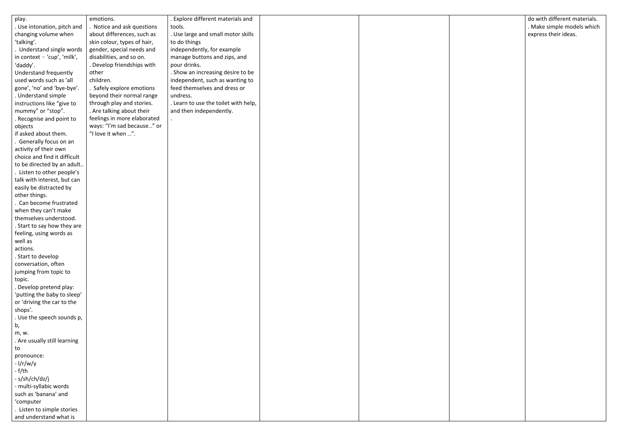| play.                         | emotions.                   | . Explore different materials and    |  |  |
|-------------------------------|-----------------------------|--------------------------------------|--|--|
| . Use intonation, pitch and   | . Notice and ask questions  | tools.                               |  |  |
| changing volume when          | about differences, such as  | . Use large and small motor skills   |  |  |
| 'talking'.                    | skin colour, types of hair, | to do things                         |  |  |
| Understand single words       | gender, special needs and   | independently, for example           |  |  |
| in context $-$ 'cup', 'milk', | disabilities, and so on.    | manage buttons and zips, and         |  |  |
| 'daddy'.                      | . Develop friendships with  | pour drinks.                         |  |  |
| Understand frequently         | other                       | . Show an increasing desire to be    |  |  |
| used words such as 'all       | children.                   | independent, such as wanting to      |  |  |
| gone', 'no' and 'bye-bye'.    | . Safely explore emotions   | feed themselves and dress or         |  |  |
| . Understand simple           | beyond their normal range   | undress.                             |  |  |
| instructions like "give to    | through play and stories.   | . Learn to use the toilet with help, |  |  |
| mummy" or "stop".             | . Are talking about their   | and then independently.              |  |  |
| . Recognise and point to      | feelings in more elaborated |                                      |  |  |
| objects                       | ways: "I'm sad because" or  |                                      |  |  |
| if asked about them.          | "I love it when ".          |                                      |  |  |
| Generally focus on an         |                             |                                      |  |  |
| activity of their own         |                             |                                      |  |  |
| choice and find it difficult  |                             |                                      |  |  |
| to be directed by an adult    |                             |                                      |  |  |
| Listen to other people's      |                             |                                      |  |  |
| talk with interest, but can   |                             |                                      |  |  |
| easily be distracted by       |                             |                                      |  |  |
| other things.                 |                             |                                      |  |  |
| . Can become frustrated       |                             |                                      |  |  |
| when they can't make          |                             |                                      |  |  |
| themselves understood.        |                             |                                      |  |  |
| . Start to say how they are   |                             |                                      |  |  |
| feeling, using words as       |                             |                                      |  |  |
| well as                       |                             |                                      |  |  |
| actions.                      |                             |                                      |  |  |
| . Start to develop            |                             |                                      |  |  |
| conversation, often           |                             |                                      |  |  |
| jumping from topic to         |                             |                                      |  |  |
| topic.                        |                             |                                      |  |  |
| . Develop pretend play:       |                             |                                      |  |  |
| 'putting the baby to sleep'   |                             |                                      |  |  |
| or 'driving the car to the    |                             |                                      |  |  |
| shops'.                       |                             |                                      |  |  |
| . Use the speech sounds p,    |                             |                                      |  |  |
| b,                            |                             |                                      |  |  |
| m, w.                         |                             |                                      |  |  |
| . Are usually still learning  |                             |                                      |  |  |
| to                            |                             |                                      |  |  |
| pronounce:                    |                             |                                      |  |  |
| $-1/r/w/y$                    |                             |                                      |  |  |
| $-f-th$                       |                             |                                      |  |  |
| - s/sh/ch/dz/j                |                             |                                      |  |  |
| - multi-syllabic words        |                             |                                      |  |  |
| such as 'banana' and          |                             |                                      |  |  |
| 'computer                     |                             |                                      |  |  |
| Listen to simple stories      |                             |                                      |  |  |
| and understand what is        |                             |                                      |  |  |

| do with different materials.<br>. Make simple models which |
|------------------------------------------------------------|
| express their ideas.                                       |
|                                                            |
|                                                            |
|                                                            |
|                                                            |
|                                                            |
|                                                            |
|                                                            |
|                                                            |
|                                                            |
|                                                            |
|                                                            |
|                                                            |
|                                                            |
|                                                            |
|                                                            |
|                                                            |
|                                                            |
|                                                            |
|                                                            |
|                                                            |
|                                                            |
|                                                            |
|                                                            |
|                                                            |
|                                                            |